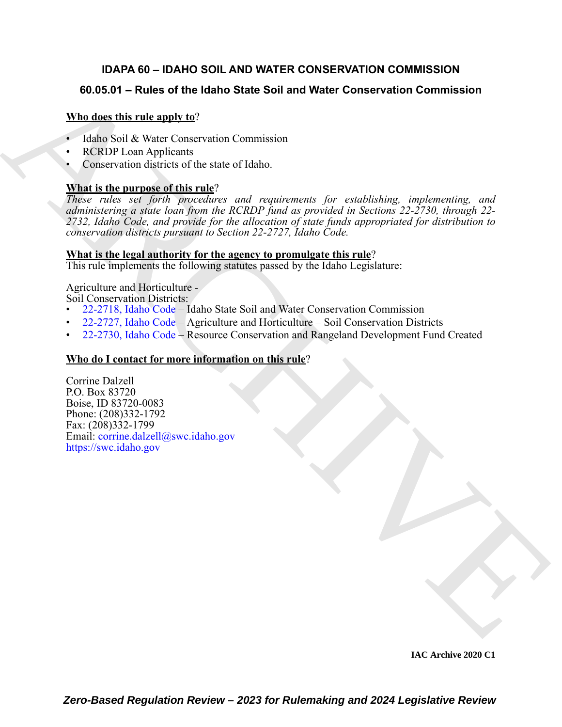# **IDAPA 60 – IDAHO SOIL AND WATER CONSERVATION COMMISSION**

# **60.05.01 – Rules of the Idaho State Soil and Water Conservation Commission**

# **Who does this rule apply to**?

- Idaho Soil & Water Conservation Commission
- **RCRDP Loan Applicants**
- Conservation districts of the state of Idaho.

# **What is the purpose of this rule**?

**60.05.01 – [R](https://legislature.idaho.gov/statutesrules/idstat/Title22/T22CH27/SECT22-2718/)ules of the Idaho State Soil and Water [C](https://legislature.idaho.gov/statutesrules/idstat/Title22/T22CH27/SECT22-2730/)onservation Commission<br>
Yultage discretification properties conservation Commission<br>
• Idaho Soil & Water Conservation Commission<br>
• Idaho Soil & Water Conservation Com** *These rules set forth procedures and requirements for establishing, implementing, and administering a state loan from the RCRDP fund as provided in Sections 22-2730, through 22- 2732, Idaho Code, and provide for the allocation of state funds appropriated for distribution to conservation districts pursuant to Section 22-2727, Idaho Code.*

### **What is the legal authority for the agency to promulgate this rule**?

This rule implements the following statutes passed by the Idaho Legislature:

Agriculture and Horticulture - Soil Conservation Districts:

- 22-2718, Idaho Code Idaho State Soil and Water Conservation Commission
- 22-2727, Idaho Code Agriculture and Horticulture Soil Conservation Districts
- 22-2730, Idaho Code Resource Conservation and Rangeland Development Fund Created

# **Who do I contact for more information on this rule**?

Corrine Dalzell P.O. Box 83720 Boise, ID 83720-0083 Phone: (208)332-1792 Fax: (208)332-1799 Email: corrine.dalzell@swc.idaho.gov https://swc.idaho.gov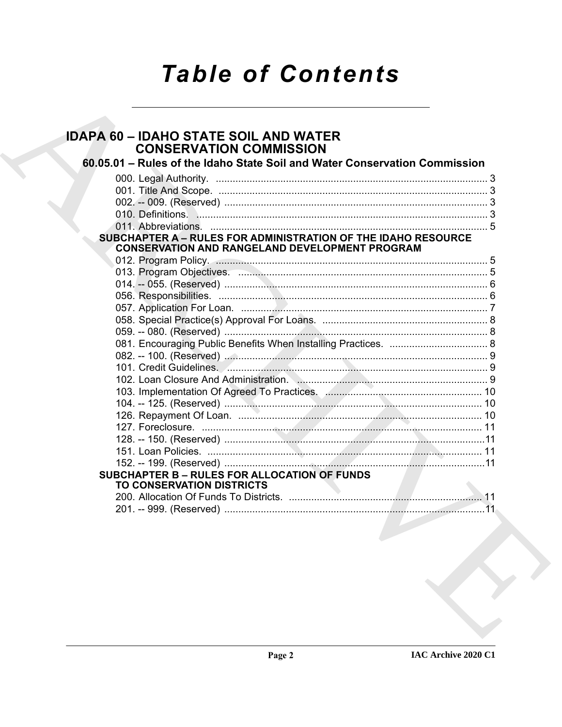# **Table of Contents**

# **IDAPA 60 - IDAHO STATE SOIL AND WATER CONSERVATION COMMISSION** 60.05.01 - Rules of the Idaho State Soil and Water Conservation Commission 010 Definitions 3 SUBCHAPTER A - RULES FOR ADMINISTRATION OF THE IDAHO RESOURCE **CONSERVATION AND RANGELAND DEVELOPMENT PROGRAM SUBCHAPTER B - RULES FOR ALLOCATION OF FUNDS** TO CONSERVATION DISTRICTS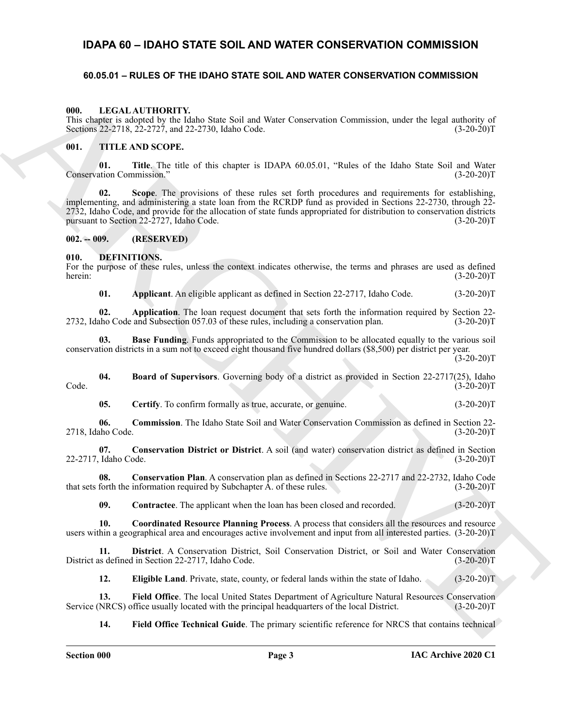# <span id="page-2-0"></span>**IDAPA 60 – IDAHO STATE SOIL AND WATER CONSERVATION COMMISSION**

### <span id="page-2-21"></span><span id="page-2-1"></span>**60.05.01 – RULES OF THE IDAHO STATE SOIL AND WATER CONSERVATION COMMISSION**

#### <span id="page-2-2"></span>**000. LEGAL AUTHORITY.**

This chapter is adopted by the Idaho State Soil and Water Conservation Commission, under the legal authority of Sections 22-2718, 22-2727, and 22-2730, Idaho Code. (3-20-20)T

#### <span id="page-2-22"></span><span id="page-2-3"></span>**001. TITLE AND SCOPE.**

**01. Title**. The title of this chapter is IDAPA 60.05.01, "Rules of the Idaho State Soil and Water Conservation Commission.'

**UIL LEGAL AUTHOMITY.**<br>
The degree is advocable by the delay Source Scale of Work Conservation Commission, under the legal subscript of<br>
Yearbox 2022 (1, 2022) and 2022 (1, 2003) and 2022 (1, 2006) and 2022 (1, 2006) and **02. Scope**. The provisions of these rules set forth procedures and requirements for establishing, implementing, and administering a state loan from the RCRDP fund as provided in Sections 22-2730, through 22- 2732, Idaho Code, and provide for the allocation of state funds appropriated for distribution to conservation districts pursuant to Section 22-2727, Idaho Code.

#### <span id="page-2-4"></span>**002. -- 009. (RESERVED)**

<span id="page-2-6"></span><span id="page-2-5"></span>**010. DEFINITIONS.**

For the purpose of these rules, unless the context indicates otherwise, the terms and phrases are used as defined herein: (3-20-20)T

<span id="page-2-9"></span><span id="page-2-8"></span><span id="page-2-7"></span>**01. Applicant**. An eligible applicant as defined in Section 22-2717, Idaho Code. (3-20-20)T

**02. Application**. The loan request document that sets forth the information required by Section 22- 2732, Idaho Code and Subsection 057.03 of these rules, including a conservation plan. (3-20-20)T

**03. Base Funding**. Funds appropriated to the Commission to be allocated equally to the various soil conservation districts in a sum not to exceed eight thousand five hundred dollars (\$8,500) per district per year.  $(3-20-20)T$ 

**04. Board of Supervisors**. Governing body of a district as provided in Section 22-2717(25), Idaho Code. (3-20-20)T

<span id="page-2-13"></span><span id="page-2-12"></span><span id="page-2-11"></span><span id="page-2-10"></span>**05.** Certify. To confirm formally as true, accurate, or genuine. (3-20-20)T

**06. Commission**. The Idaho State Soil and Water Conservation Commission as defined in Section 22- 2718, Idaho Code. (3-20-20)T

**07. Conservation District or District**. A soil (and water) conservation district as defined in Section 22-2717, Idaho Code. (3-20-20)T

**08. Conservation Plan**. A conservation plan as defined in Sections 22-2717 and 22-2732, Idaho Code that sets forth the information required by Subchapter A. of these rules. (3-20-20)T

<span id="page-2-16"></span><span id="page-2-15"></span><span id="page-2-14"></span>**09.** Contractee. The applicant when the loan has been closed and recorded. (3-20-20)T

**10.** Coordinated Resource Planning Process. A process that considers all the resources and resource users within a geographical area and encourages active involvement and input from all interested parties. (3-20-20)T

**11. District**. A Conservation District, Soil Conservation District, or Soil and Water Conservation District as defined in Section 22-2717, Idaho Code.

<span id="page-2-19"></span><span id="page-2-18"></span><span id="page-2-17"></span>**12. Eligible Land**. Private, state, county, or federal lands within the state of Idaho. (3-20-20)T

**13.** Field Office. The local United States Department of Agriculture Natural Resources Conservation NRCS) office usually located with the principal headquarters of the local District. (3-20-20)T Service (NRCS) office usually located with the principal headquarters of the local District.

<span id="page-2-20"></span>**14. Field Office Technical Guide**. The primary scientific reference for NRCS that contains technical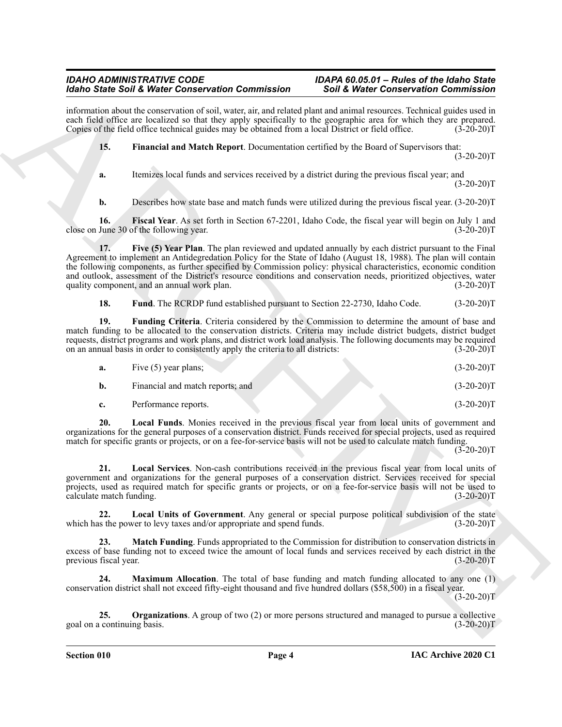information about the conservation of soil, water, air, and related plant and animal resources. Technical guides used in each field office are localized so that they apply specifically to the geographic area for which they are prepared. Copies of the field office technical guides may be obtained from a local District or field office. (3-20-20)T

<span id="page-3-0"></span>**15. Financial and Match Report**. Documentation certified by the Board of Supervisors that:  $(3-20-20)T$ 

**a.** Itemizes local funds and services received by a district during the previous fiscal year; and  $(3-20-20)T$ 

<span id="page-3-2"></span><span id="page-3-1"></span>**b.** Describes how state base and match funds were utilized during the previous fiscal year. (3-20-20)T

**16. Fiscal Year**. As set forth in Section 67-2201, Idaho Code, the fiscal year will begin on July 1 and close on June 30 of the following year. (3-20-20)T

Solon Sank Web Context-ration Contents and the Web Website Contents and Contents and Contents and Contents and Contents and Contents are a solid with the same of the Contents and Contents are a solid by the Contents and C **17. Five (5) Year Plan**. The plan reviewed and updated annually by each district pursuant to the Final Agreement to implement an Antidegredation Policy for the State of Idaho (August 18, 1988). The plan will contain the following components, as further specified by Commission policy: physical characteristics, economic condition and outlook, assessment of the District's resource conditions and conservation needs, prioritized objectives, water quality component, and an annual work plan. (3-20-20) T

<span id="page-3-4"></span><span id="page-3-3"></span>**18. Fund**. The RCRDP fund established pursuant to Section 22-2730, Idaho Code. (3-20-20)T

**19. Funding Criteria**. Criteria considered by the Commission to determine the amount of base and match funding to be allocated to the conservation districts. Criteria may include district budgets, district budget requests, district programs and work plans, and district work load analysis. The following documents may be required on an annual basis in order to consistently apply the criteria to all districts: (3-20-20)T

<span id="page-3-5"></span>

| а. | Five (5) year plans;             | $(3-20-20)T$ |
|----|----------------------------------|--------------|
|    | Financial and match reports; and | $(3-20-20)T$ |
|    | Performance reports.             | $(3-20-20)T$ |

**20. Local Funds**. Monies received in the previous fiscal year from local units of government and organizations for the general purposes of a conservation district. Funds received for special projects, used as required match for specific grants or projects, or on a fee-for-service basis will not be used to calculate match funding.

 $(3-20-20)$ T

<span id="page-3-6"></span>**21. Local Services**. Non-cash contributions received in the previous fiscal year from local units of government and organizations for the general purposes of a conservation district. Services received for special projects, used as required match for specific grants or projects, or on a fee-for-service basis will not be used to calculate match funding. (3-20-20)T

<span id="page-3-7"></span>**22.** Local Units of Government. Any general or special purpose political subdivision of the state is the power to levy taxes and/or appropriate and spend funds. (3-20-20) which has the power to levy taxes and/or appropriate and spend funds.

<span id="page-3-8"></span>**23. Match Funding**. Funds appropriated to the Commission for distribution to conservation districts in excess of base funding not to exceed twice the amount of local funds and services received by each district in the previous fiscal year. (3-20-20) previous fiscal year.

<span id="page-3-9"></span>**24. Maximum Allocation**. The total of base funding and match funding allocated to any one (1) conservation district shall not exceed fifty-eight thousand and five hundred dollars (\$58,500) in a fiscal year.

 $(3-20-20)T$ 

<span id="page-3-10"></span>**25. Organizations**. A group of two (2) or more persons structured and managed to pursue a collective goal on a continuing basis. (3-20-20)T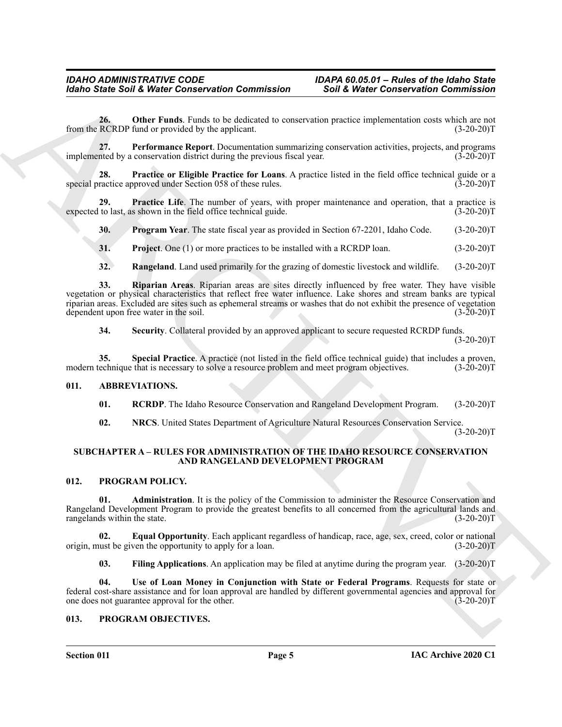<span id="page-4-7"></span>**26. Other Funds**. Funds to be dedicated to conservation practice implementation costs which are not from the RCRDP fund or provided by the applicant. (3-20-20)T

<span id="page-4-8"></span>**27. Performance Report**. Documentation summarizing conservation activities, projects, and programs implemented by a conservation district during the previous fiscal year. (3-20-20)T

<span id="page-4-10"></span>**28. Practice or Eligible Practice for Loans**. A practice listed in the field office technical guide or a special practice approved under Section 058 of these rules. (3-20-20)T

**29.** Practice Life. The number of years, with proper maintenance and operation, that a practice is to last, as shown in the field office technical guide. (3-20-20)<sup>T</sup> expected to last, as shown in the field office technical guide.

<span id="page-4-11"></span><span id="page-4-9"></span>**30. Program Year**. The state fiscal year as provided in Section 67-2201, Idaho Code. (3-20-20)T

<span id="page-4-12"></span>**31. Project**. One (1) or more practices to be installed with a RCRDP loan. (3-20-20)T

<span id="page-4-14"></span><span id="page-4-13"></span>**32.** Rangeland. Land used primarily for the grazing of domestic livestock and wildlife. (3-20-20)T

Mohio Sinie Soil & Weist Connected that conservation Commission Connected the Connected to Connected the actual and<br>
from the U.S. Only Funds, heads of the Substitute of the actual connected the actual connected that are **33. Riparian Areas**. Riparian areas are sites directly influenced by free water. They have visible vegetation or physical characteristics that reflect free water influence. Lake shores and stream banks are typical riparian areas. Excluded are sites such as ephemeral streams or washes that do not exhibit the presence of vegetation dependent upon free water in the soil. (3-20-20) dependent upon free water in the soil.

<span id="page-4-16"></span><span id="page-4-15"></span>**34. Security**. Collateral provided by an approved applicant to secure requested RCRDP funds.

 $(3-20-20)T$ 

**35.** Special Practice. A practice (not listed in the field office technical guide) that includes a proven, technique that is necessary to solve a resource problem and meet program objectives. (3-20-20)T modern technique that is necessary to solve a resource problem and meet program objectives.

#### <span id="page-4-0"></span>**011. ABBREVIATIONS.**

<span id="page-4-6"></span><span id="page-4-4"></span>**01. RCRDP**. The Idaho Resource Conservation and Rangeland Development Program. (3-20-20)T

<span id="page-4-23"></span><span id="page-4-5"></span>**02. NRCS**. United States Department of Agriculture Natural Resources Conservation Service.

 $(3-20-20)T$ 

#### <span id="page-4-18"></span><span id="page-4-1"></span>**SUBCHAPTER A – RULES FOR ADMINISTRATION OF THE IDAHO RESOURCE CONSERVATION AND RANGELAND DEVELOPMENT PROGRAM**

#### <span id="page-4-2"></span>**012. PROGRAM POLICY.**

<span id="page-4-19"></span>**01. Administration**. It is the policy of the Commission to administer the Resource Conservation and Rangeland Development Program to provide the greatest benefits to all concerned from the agricultural lands and rangelands within the state. (3-20-20)T

**02. Equal Opportunity**. Each applicant regardless of handicap, race, age, sex, creed, color or national ust be given the opportunity to apply for a loan.  $(3-20-20)$ origin, must be given the opportunity to apply for a loan.

<span id="page-4-22"></span><span id="page-4-21"></span><span id="page-4-20"></span>**03. Filing Applications**. An application may be filed at anytime during the program year. (3-20-20)T

**04. Use of Loan Money in Conjunction with State or Federal Programs**. Requests for state or federal cost-share assistance and for loan approval are handled by different governmental agencies and approval for one does not guarantee approval for the other.

#### <span id="page-4-17"></span><span id="page-4-3"></span>**013. PROGRAM OBJECTIVES.**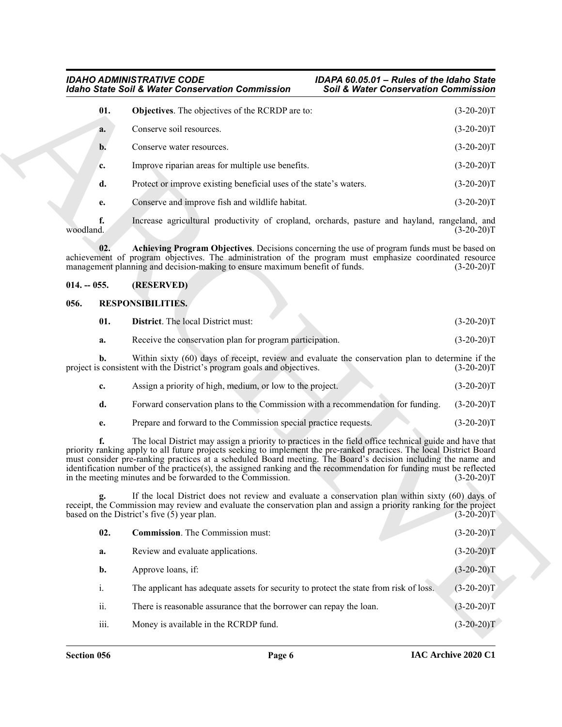#### <span id="page-5-3"></span>*IDAHO ADMINISTRATIVE CODE IDAPA 60.05.01 – Rules of the Idaho State Idaho State Soil & Water Conservation Commission Soil & Water Conservation Commission*

|                 | <b>Idaho State Soil &amp; Water Conservation Commission</b>                                                                                                                                                                                                                                                                                                                                                                                                                                                                            | <b>Soil &amp; Water Conservation Commission</b> |              |
|-----------------|----------------------------------------------------------------------------------------------------------------------------------------------------------------------------------------------------------------------------------------------------------------------------------------------------------------------------------------------------------------------------------------------------------------------------------------------------------------------------------------------------------------------------------------|-------------------------------------------------|--------------|
| 01.             | Objectives. The objectives of the RCRDP are to:                                                                                                                                                                                                                                                                                                                                                                                                                                                                                        |                                                 | $(3-20-20)T$ |
| a.              | Conserve soil resources.                                                                                                                                                                                                                                                                                                                                                                                                                                                                                                               |                                                 | $(3-20-20)T$ |
| $\mathbf{b}$ .  | Conserve water resources.                                                                                                                                                                                                                                                                                                                                                                                                                                                                                                              |                                                 | $(3-20-20)T$ |
| c.              | Improve riparian areas for multiple use benefits.                                                                                                                                                                                                                                                                                                                                                                                                                                                                                      |                                                 | $(3-20-20)T$ |
| d.              | Protect or improve existing beneficial uses of the state's waters.                                                                                                                                                                                                                                                                                                                                                                                                                                                                     |                                                 | $(3-20-20)T$ |
| е.              | Conserve and improve fish and wildlife habitat.                                                                                                                                                                                                                                                                                                                                                                                                                                                                                        |                                                 | $(3-20-20)T$ |
| f.<br>woodland. | Increase agricultural productivity of cropland, orchards, pasture and hayland, rangeland, and                                                                                                                                                                                                                                                                                                                                                                                                                                          |                                                 | $(3-20-20)T$ |
| 02.             | Achieving Program Objectives. Decisions concerning the use of program funds must be based on<br>achievement of program objectives. The administration of the program must emphasize coordinated resource<br>management planning and decision-making to ensure maximum benefit of funds.                                                                                                                                                                                                                                                |                                                 | $(3-20-20)T$ |
| $014. - 055.$   | (RESERVED)                                                                                                                                                                                                                                                                                                                                                                                                                                                                                                                             |                                                 |              |
| 056.            | <b>RESPONSIBILITIES.</b>                                                                                                                                                                                                                                                                                                                                                                                                                                                                                                               |                                                 |              |
| 01.             | <b>District.</b> The local District must:                                                                                                                                                                                                                                                                                                                                                                                                                                                                                              |                                                 | $(3-20-20)T$ |
| a.              | Receive the conservation plan for program participation.                                                                                                                                                                                                                                                                                                                                                                                                                                                                               |                                                 | $(3-20-20)T$ |
| b.              | Within sixty (60) days of receipt, review and evaluate the conservation plan to determine if the<br>project is consistent with the District's program goals and objectives.                                                                                                                                                                                                                                                                                                                                                            |                                                 | $(3-20-20)T$ |
| c.              | Assign a priority of high, medium, or low to the project.                                                                                                                                                                                                                                                                                                                                                                                                                                                                              |                                                 | $(3-20-20)T$ |
| d.              | Forward conservation plans to the Commission with a recommendation for funding.                                                                                                                                                                                                                                                                                                                                                                                                                                                        |                                                 | $(3-20-20)T$ |
| е.              | Prepare and forward to the Commission special practice requests.                                                                                                                                                                                                                                                                                                                                                                                                                                                                       |                                                 | $(3-20-20)T$ |
|                 | The local District may assign a priority to practices in the field office technical guide and have that<br>priority ranking apply to all future projects seeking to implement the pre-ranked practices. The local District Board<br>must consider pre-ranking practices at a scheduled Board meeting. The Board's decision including the name and<br>identification number of the practice(s), the assigned ranking and the recommendation for funding must be reflected<br>in the meeting minutes and be forwarded to the Commission. |                                                 | $(3-20-20)T$ |
|                 | If the local District does not review and evaluate a conservation plan within sixty (60) days of<br>receipt, the Commission may review and evaluate the conservation plan and assign a priority ranking for the project<br>based on the District's five (5) year plan.                                                                                                                                                                                                                                                                 |                                                 | $(3-20-20)T$ |
| 02.             | <b>Commission</b> . The Commission must:                                                                                                                                                                                                                                                                                                                                                                                                                                                                                               |                                                 | $(3-20-20)T$ |
| a.              | Review and evaluate applications.                                                                                                                                                                                                                                                                                                                                                                                                                                                                                                      |                                                 | $(3-20-20)T$ |
| b.              | Approve loans, if:                                                                                                                                                                                                                                                                                                                                                                                                                                                                                                                     |                                                 | $(3-20-20)T$ |
| i.              | The applicant has adequate assets for security to protect the state from risk of loss.                                                                                                                                                                                                                                                                                                                                                                                                                                                 |                                                 | $(3-20-20)T$ |
| ii.             | There is reasonable assurance that the borrower can repay the loan.                                                                                                                                                                                                                                                                                                                                                                                                                                                                    |                                                 | $(3-20-20)T$ |
|                 |                                                                                                                                                                                                                                                                                                                                                                                                                                                                                                                                        |                                                 |              |

#### <span id="page-5-2"></span><span id="page-5-0"></span>**014. -- 055. (RESERVED)**

#### <span id="page-5-4"></span><span id="page-5-1"></span>**056. RESPONSIBILITIES.**

<span id="page-5-6"></span>

| 01. | <b>District.</b> The local District must:                                                                                                                                   | $(3-20-20)T$ |
|-----|-----------------------------------------------------------------------------------------------------------------------------------------------------------------------------|--------------|
| а.  | Receive the conservation plan for program participation.                                                                                                                    | $(3-20-20)T$ |
|     | Within sixty (60) days of receipt, review and evaluate the conservation plan to determine if the<br>project is consistent with the District's program goals and objectives. | $(3-20-20)T$ |

| Assign a priority of high, medium, or low to the project.                                  |  |  |
|--------------------------------------------------------------------------------------------|--|--|
| Forward conservation plans to the Commission with a recommendation for funding. (3-20-20)T |  |  |

<span id="page-5-5"></span>

| 02.              | <b>Commission.</b> The Commission must:                                                | $(3-20-20)T$ |
|------------------|----------------------------------------------------------------------------------------|--------------|
| a.               | Review and evaluate applications.                                                      | $(3-20-20)T$ |
| b.               | Approve loans, if:                                                                     | $(3-20-20)T$ |
| i.               | The applicant has adequate assets for security to protect the state from risk of loss. | $(3-20-20)T$ |
| ii.              | There is reasonable assurance that the borrower can repay the loan.                    | $(3-20-20)T$ |
| $\cdots$<br>111. | Money is available in the RCRDP fund.                                                  | $(3-20-20)T$ |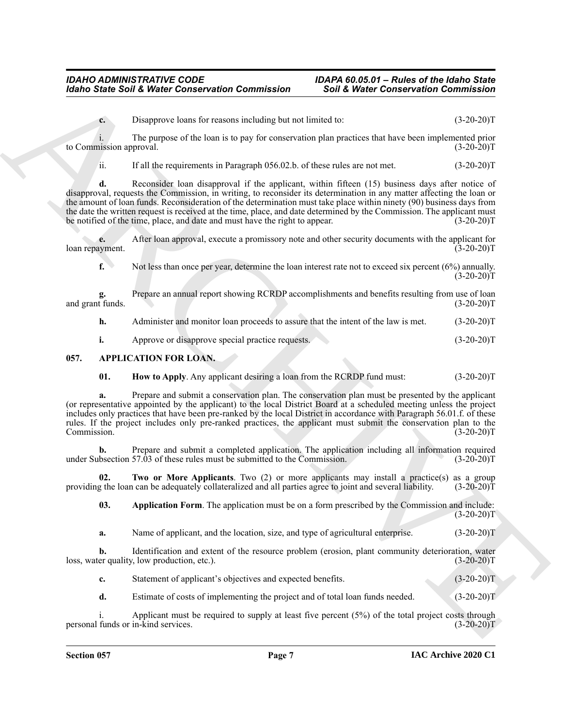#### *IDAHO ADMINISTRATIVE CODE IDAPA 60.05.01 – Rules of the Idaho State Idaho State Soil & Water Conservation Commission Soil & Water Conservation Commission*

**c.** Disapprove loans for reasons including but not limited to:  $(3-20-20)T$ 

i. The purpose of the loan is to pay for conservation plan practices that have been implemented prior to Commission approval. (3-20-20)T

ii. If all the requirements in Paragraph 056.02.b. of these rules are not met. (3-20-20)T

**Example Solid Weiter Conner various modeling to the Weiter Conner various Conner various connection contents and<br>
The proposal on the transmission of the state of the state of the state of the state of the state of the d.** Reconsider loan disapproval if the applicant, within fifteen (15) business days after notice of disapproval, requests the Commission, in writing, to reconsider its determination in any matter affecting the loan or the amount of loan funds. Reconsideration of the determination must take place within ninety (90) business days from the date the written request is received at the time, place, and date determined by the Commission. The applicant must<br>be notified of the time, place, and date and must have the right to appear. (3-20-20) be notified of the time, place, and date and must have the right to appear.

**e.** After loan approval, execute a promissory note and other security documents with the applicant for syment. (3-20-20) loan repayment.

**f.** Not less than once per year, determine the loan interest rate not to exceed six percent (6%) annually.  $(3-20-20)T$ 

Prepare an annual report showing RCRDP accomplishments and benefits resulting from use of loan<br>(3-20-20)T and grant funds.

**h.** Administer and monitor loan proceeds to assure that the intent of the law is met. (3-20-20)T

<span id="page-6-1"></span>**i.** Approve or disapprove special practice requests. (3-20-20)T

#### <span id="page-6-0"></span>**057. APPLICATION FOR LOAN.**

<span id="page-6-3"></span>**01. How to Apply**. Any applicant desiring a loan from the RCRDP fund must:  $(3-20-20)T$ 

**a.** Prepare and submit a conservation plan. The conservation plan must be presented by the applicant (or representative appointed by the applicant) to the local District Board at a scheduled meeting unless the project includes only practices that have been pre-ranked by the local District in accordance with Paragraph 56.01.f. of these rules. If the project includes only pre-ranked practices, the applicant must submit the conservation plan to the Commission. (3-20-20)T

**b.** Prepare and submit a completed application. The application including all information required under Subsection 57.03 of these rules must be submitted to the Commission. (3-20-20)T

**02.** Two or More Applicants. Two (2) or more applicants may install a practice(s) as a group g the loan can be adequately collateralized and all parties agree to joint and several liability. (3-20-20)T providing the loan can be adequately collateralized and all parties agree to joint and several liability.

<span id="page-6-4"></span><span id="page-6-2"></span>**03. Application Form**. The application must be on a form prescribed by the Commission and include:  $(3-20-20)T$ 

**a.** Name of applicant, and the location, size, and type of agricultural enterprise. (3-20-20)T

**b.** Identification and extent of the resource problem (erosion, plant community deterioration, water er quality, low production, etc.).  $(3-20-20)$ loss, water quality, low production, etc.).

**c.** Statement of applicant's objectives and expected benefits. (3-20-20)T

**d.** Estimate of costs of implementing the project and of total loan funds needed. (3-20-20)T

i. Applicant must be required to supply at least five percent (5%) of the total project costs through personal funds or in-kind services. (3-20-20)T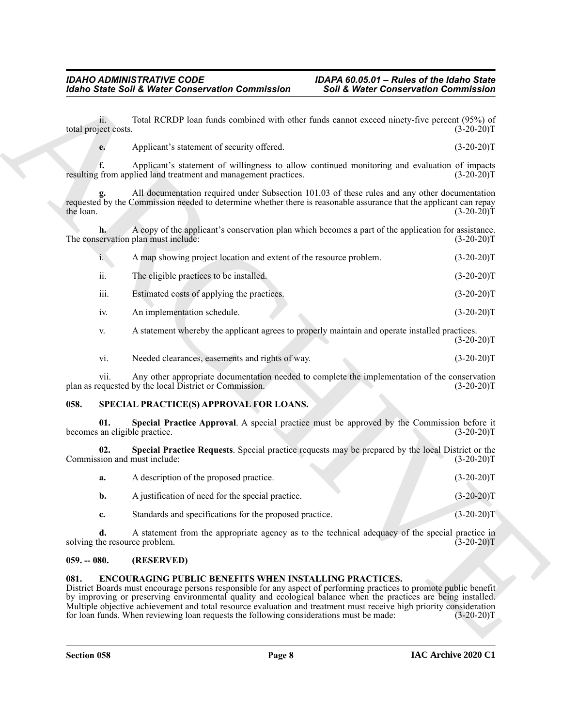| ii.<br>total project costs.<br>e.    | Total RCRDP loan funds combined with other funds cannot exceed ninety-five percent (95%) of                                                              |                                                                                                                                                                                                                                                                                                                                                                               |
|--------------------------------------|----------------------------------------------------------------------------------------------------------------------------------------------------------|-------------------------------------------------------------------------------------------------------------------------------------------------------------------------------------------------------------------------------------------------------------------------------------------------------------------------------------------------------------------------------|
|                                      |                                                                                                                                                          | $(3-20-20)T$                                                                                                                                                                                                                                                                                                                                                                  |
|                                      | Applicant's statement of security offered.                                                                                                               | $(3-20-20)T$                                                                                                                                                                                                                                                                                                                                                                  |
|                                      | resulting from applied land treatment and management practices.                                                                                          | Applicant's statement of willingness to allow continued monitoring and evaluation of impacts<br>$(3-20-20)T$                                                                                                                                                                                                                                                                  |
| the loan.                            |                                                                                                                                                          | All documentation required under Subsection 101.03 of these rules and any other documentation<br>requested by the Commission needed to determine whether there is reasonable assurance that the applicant can repay<br>$(3-20-20)T$                                                                                                                                           |
|                                      | The conservation plan must include:                                                                                                                      | A copy of the applicant's conservation plan which becomes a part of the application for assistance.<br>$(3-20-20)T$                                                                                                                                                                                                                                                           |
| i. \                                 | A map showing project location and extent of the resource problem.                                                                                       | $(3-20-20)T$                                                                                                                                                                                                                                                                                                                                                                  |
| ii.                                  | The eligible practices to be installed.                                                                                                                  | $(3-20-20)T$                                                                                                                                                                                                                                                                                                                                                                  |
| iii.                                 | Estimated costs of applying the practices.                                                                                                               | $(3-20-20)T$                                                                                                                                                                                                                                                                                                                                                                  |
| iv.                                  | An implementation schedule.                                                                                                                              | $(3-20-20)T$                                                                                                                                                                                                                                                                                                                                                                  |
| V.                                   | A statement whereby the applicant agrees to properly maintain and operate installed practices.                                                           | $(3-20-20)T$                                                                                                                                                                                                                                                                                                                                                                  |
| vi.                                  | Needed clearances, easements and rights of way.                                                                                                          | $(3-20-20)T$                                                                                                                                                                                                                                                                                                                                                                  |
| V11.                                 | plan as requested by the local District or Commission.                                                                                                   | Any other appropriate documentation needed to complete the implementation of the conservation<br>$(3-20-20)T$                                                                                                                                                                                                                                                                 |
| 058.                                 | SPECIAL PRACTICE(S) APPROVAL FOR LOANS.                                                                                                                  |                                                                                                                                                                                                                                                                                                                                                                               |
| 01.<br>becomes an eligible practice. |                                                                                                                                                          | Special Practice Approval. A special practice must be approved by the Commission before it<br>$(3-20-20)T$                                                                                                                                                                                                                                                                    |
| 02.<br>Commission and must include:  |                                                                                                                                                          | Special Practice Requests. Special practice requests may be prepared by the local District or the<br>$(3-20-20)T$                                                                                                                                                                                                                                                             |
| a.                                   | A description of the proposed practice.                                                                                                                  | $(3-20-20)T$                                                                                                                                                                                                                                                                                                                                                                  |
| b.                                   | A justification of need for the special practice.                                                                                                        | $(3-20-20)T$                                                                                                                                                                                                                                                                                                                                                                  |
| c.                                   | Standards and specifications for the proposed practice.                                                                                                  | $(3-20-20)T$                                                                                                                                                                                                                                                                                                                                                                  |
| d.<br>solving the resource problem.  |                                                                                                                                                          | A statement from the appropriate agency as to the technical adequacy of the special practice in<br>$(3-20-20)T$                                                                                                                                                                                                                                                               |
| $059. - 080.$                        | (RESERVED)                                                                                                                                               |                                                                                                                                                                                                                                                                                                                                                                               |
| 081.                                 | <b>ENCOURAGING PUBLIC BENEFITS WHEN INSTALLING PRACTICES.</b><br>for loan funds. When reviewing loan requests the following considerations must be made: | District Boards must encourage persons responsible for any aspect of performing practices to promote public benefit<br>by improving or preserving environmental quality and ecological balance when the practices are being installed.<br>Multiple objective achievement and total resource evaluation and treatment must receive high priority consideration<br>$(3-20-20)T$ |

#### <span id="page-7-5"></span><span id="page-7-4"></span><span id="page-7-0"></span>**058. SPECIAL PRACTICE(S) APPROVAL FOR LOANS.**

<span id="page-7-6"></span>

| A description of the proposed practice.           | $(3-20-20)T$ |
|---------------------------------------------------|--------------|
| A justification of need for the special practice. | $(3-20-20)T$ |
|                                                   |              |

#### <span id="page-7-1"></span>**059. -- 080. (RESERVED)**

#### <span id="page-7-3"></span><span id="page-7-2"></span>**081. ENCOURAGING PUBLIC BENEFITS WHEN INSTALLING PRACTICES.**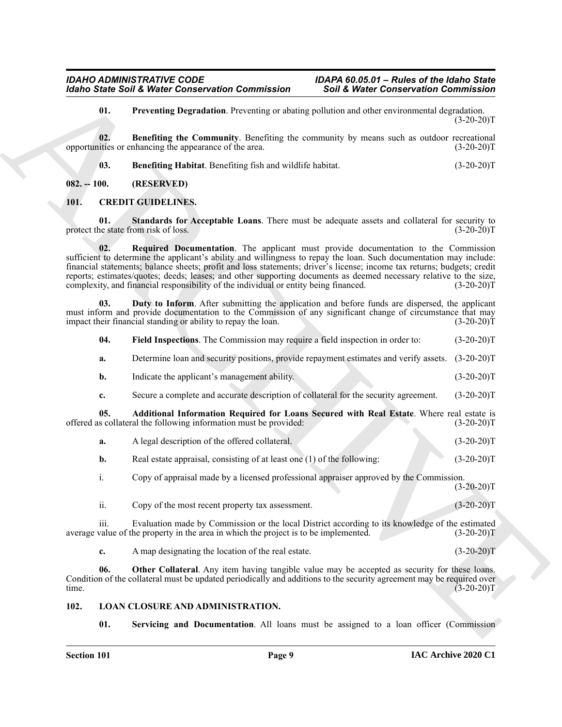#### <span id="page-8-12"></span><span id="page-8-11"></span><span id="page-8-10"></span><span id="page-8-9"></span><span id="page-8-8"></span><span id="page-8-6"></span><span id="page-8-5"></span><span id="page-8-3"></span><span id="page-8-1"></span><span id="page-8-0"></span>**101. CREDIT GUIDELINES.**

|                                             | <b>Idaho State Soil &amp; Water Conservation Commission</b>                                                                                                                                                                                                                                                                                                                                                                                                                                                                                       | <b>Soil &amp; Water Conservation Commission</b> |              |
|---------------------------------------------|---------------------------------------------------------------------------------------------------------------------------------------------------------------------------------------------------------------------------------------------------------------------------------------------------------------------------------------------------------------------------------------------------------------------------------------------------------------------------------------------------------------------------------------------------|-------------------------------------------------|--------------|
| 01.                                         | Preventing Degradation. Preventing or abating pollution and other environmental degradation.                                                                                                                                                                                                                                                                                                                                                                                                                                                      |                                                 | $(3-20-20)T$ |
| 02.                                         | <b>Benefiting the Community.</b> Benefiting the community by means such as outdoor recreational<br>opportunities or enhancing the appearance of the area.                                                                                                                                                                                                                                                                                                                                                                                         |                                                 | $(3-20-20)T$ |
| 03.                                         | Benefiting Habitat. Benefiting fish and wildlife habitat.                                                                                                                                                                                                                                                                                                                                                                                                                                                                                         |                                                 | $(3-20-20)T$ |
| $082. - 100.$                               | (RESERVED)                                                                                                                                                                                                                                                                                                                                                                                                                                                                                                                                        |                                                 |              |
| 101.                                        | <b>CREDIT GUIDELINES.</b>                                                                                                                                                                                                                                                                                                                                                                                                                                                                                                                         |                                                 |              |
| 01.<br>protect the state from risk of loss. | Standards for Acceptable Loans. There must be adequate assets and collateral for security to                                                                                                                                                                                                                                                                                                                                                                                                                                                      |                                                 | $(3-20-20)T$ |
| 02.                                         | Required Documentation. The applicant must provide documentation to the Commission<br>sufficient to determine the applicant's ability and willingness to repay the loan. Such documentation may include:<br>financial statements; balance sheets; profit and loss statements; driver's license; income tax returns; budgets; credit<br>reports; estimates/quotes; deeds; leases; and other supporting documents as deemed necessary relative to the size,<br>complexity, and financial responsibility of the individual or entity being financed. |                                                 | $(3-20-20)T$ |
| 03.                                         | Duty to Inform. After submitting the application and before funds are dispersed, the applicant<br>must inform and provide documentation to the Commission of any significant change of circumstance that may<br>impact their financial standing or ability to repay the loan.                                                                                                                                                                                                                                                                     |                                                 | $(3-20-20)T$ |
| 04.                                         | Field Inspections. The Commission may require a field inspection in order to:                                                                                                                                                                                                                                                                                                                                                                                                                                                                     |                                                 | $(3-20-20)T$ |
| a.                                          | Determine loan and security positions, provide repayment estimates and verify assets.                                                                                                                                                                                                                                                                                                                                                                                                                                                             |                                                 | $(3-20-20)T$ |
| b.                                          | Indicate the applicant's management ability.                                                                                                                                                                                                                                                                                                                                                                                                                                                                                                      |                                                 | $(3-20-20)T$ |
| c.                                          | Secure a complete and accurate description of collateral for the security agreement.                                                                                                                                                                                                                                                                                                                                                                                                                                                              |                                                 | $(3-20-20)T$ |
| 05.                                         | Additional Information Required for Loans Secured with Real Estate. Where real estate is<br>offered as collateral the following information must be provided:                                                                                                                                                                                                                                                                                                                                                                                     |                                                 | $(3-20-20)T$ |
| a.                                          | A legal description of the offered collateral.                                                                                                                                                                                                                                                                                                                                                                                                                                                                                                    |                                                 | $(3-20-20)T$ |
| b.                                          | Real estate appraisal, consisting of at least one (1) of the following:                                                                                                                                                                                                                                                                                                                                                                                                                                                                           |                                                 | $(3-20-20)T$ |
| i.                                          | Copy of appraisal made by a licensed professional appraiser approved by the Commission.                                                                                                                                                                                                                                                                                                                                                                                                                                                           |                                                 | $(3-20-20)T$ |
| ii.                                         | Copy of the most recent property tax assessment.                                                                                                                                                                                                                                                                                                                                                                                                                                                                                                  |                                                 | $(3-20-20)T$ |
| iii.                                        | Evaluation made by Commission or the local District according to its knowledge of the estimated<br>average value of the property in the area in which the project is to be implemented.                                                                                                                                                                                                                                                                                                                                                           |                                                 | $(3-20-20)T$ |
| c.                                          | A map designating the location of the real estate.                                                                                                                                                                                                                                                                                                                                                                                                                                                                                                |                                                 | $(3-20-20)T$ |
| 06.<br>time.                                | Other Collateral. Any item having tangible value may be accepted as security for these loans.<br>Condition of the collateral must be updated periodically and additions to the security agreement may be required over                                                                                                                                                                                                                                                                                                                            |                                                 | $(3-20-20)T$ |
| 102.                                        | <b>LOAN CLOSURE AND ADMINISTRATION.</b>                                                                                                                                                                                                                                                                                                                                                                                                                                                                                                           |                                                 |              |
| 01.                                         | Servicing and Documentation. All loans must be assigned to a loan officer (Commission                                                                                                                                                                                                                                                                                                                                                                                                                                                             |                                                 |              |

#### <span id="page-8-14"></span><span id="page-8-13"></span><span id="page-8-7"></span><span id="page-8-4"></span><span id="page-8-2"></span>**102. LOAN CLOSURE AND ADMINISTRATION.**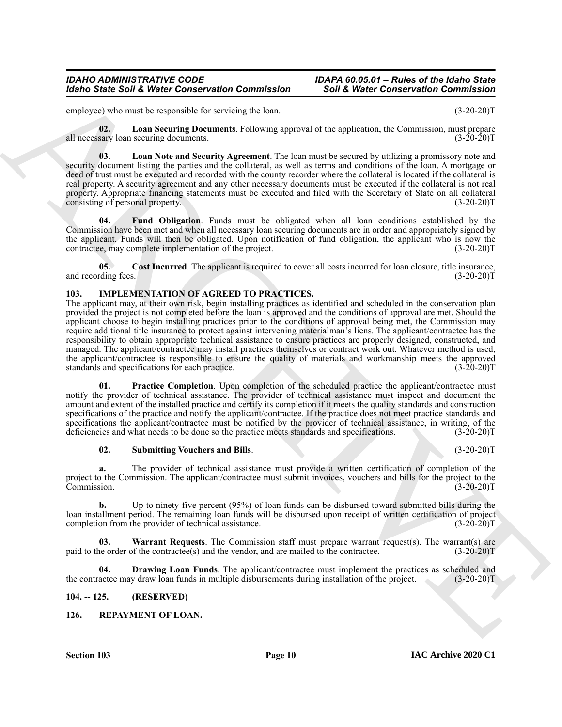employee) who must be responsible for servicing the loan. (3-20-20)T

<span id="page-9-11"></span>**02.** Loan Securing Documents. Following approval of the application, the Commission, must prepare sary loan securing documents. all necessary loan securing documents.

<span id="page-9-10"></span>**03. Loan Note and Security Agreement**. The loan must be secured by utilizing a promissory note and security document listing the parties and the collateral, as well as terms and conditions of the loan. A mortgage or deed of trust must be executed and recorded with the county recorder where the collateral is located if the collateral is real property. A security agreement and any other necessary documents must be executed if the collateral is not real property. Appropriate financing statements must be executed and filed with the Secretary of State on all collateral consisting of personal property. (3-20-20) consisting of personal property.

<span id="page-9-9"></span>**04. Fund Obligation**. Funds must be obligated when all loan conditions established by the Commission have been met and when all necessary loan securing documents are in order and appropriately signed by the applicant. Funds will then be obligated. Upon notification of fund obligation, the applicant who is now the contractee, may complete implementation of the project. (3-20-20) contractee, may complete implementation of the project.

<span id="page-9-8"></span>**05. Cost Incurred**. The applicant is required to cover all costs incurred for loan closure, title insurance, and recording fees. (3-20-20)T

#### <span id="page-9-3"></span><span id="page-9-0"></span>**103. IMPLEMENTATION OF AGREED TO PRACTICES.**

Monto Sinte Soli & Weist Connected the contents and  $\sim$  Soli & Weist Connected the Connected Connected the connected terms of the state of the state of the state of the state of the state of the state of the state of the The applicant may, at their own risk, begin installing practices as identified and scheduled in the conservation plan provided the project is not completed before the loan is approved and the conditions of approval are met. Should the applicant choose to begin installing practices prior to the conditions of approval being met, the Commission may require additional title insurance to protect against intervening materialman's liens. The applicant/contractee has the responsibility to obtain appropriate technical assistance to ensure practices are properly designed, constructed, and managed. The applicant/contractee may install practices themselves or contract work out. Whatever method is used, the applicant/contractee is responsible to ensure the quality of materials and workmanship meets the approved standards and specifications for each practice. (3-20-20) standards and specifications for each practice.

<span id="page-9-5"></span>**Practice Completion**. Upon completion of the scheduled practice the applicant/contractee must notify the provider of technical assistance. The provider of technical assistance must inspect and document the amount and extent of the installed practice and certify its completion if it meets the quality standards and construction specifications of the practice and notify the applicant/contractee. If the practice does not meet practice standards and specifications the applicant/contractee must be notified by the provider of technical assistance, in writing, of the deficiencies and what needs to be done so the practice meets standards and specifications. (3-20-20)T

#### <span id="page-9-6"></span>**02. Submitting Vouchers and Bills**. (3-20-20)T

**a.** The provider of technical assistance must provide a written certification of completion of the project to the Commission. The applicant/contractee must submit invoices, vouchers and bills for the project to the Commission. (3-20-20)T

**b.** Up to ninety-five percent (95%) of loan funds can be disbursed toward submitted bills during the loan installment period. The remaining loan funds will be disbursed upon receipt of written certification of project completion from the provider of technical assistance. (3-20-20) completion from the provider of technical assistance.

<span id="page-9-7"></span>**Warrant Requests**. The Commission staff must prepare warrant request(s). The warrant(s) are paid to the order of the contractee(s) and the vendor, and are mailed to the contractee. (3-20-20)T

<span id="page-9-4"></span>**04. Drawing Loan Funds**. The applicant/contractee must implement the practices as scheduled and the contractee may draw loan funds in multiple disbursements during installation of the project. (3-20-20)T

#### <span id="page-9-1"></span>**104. -- 125. (RESERVED)**

#### <span id="page-9-12"></span><span id="page-9-2"></span>**126. REPAYMENT OF LOAN.**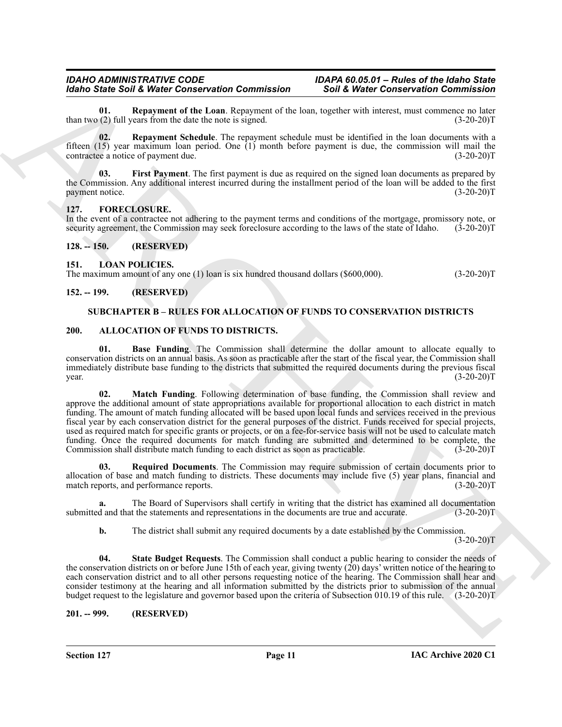<span id="page-10-15"></span>**01. Repayment of the Loan**. Repayment of the loan, together with interest, must commence no later (2) full vears from the date the note is signed. (3-20-20) than two  $(2)$  full years from the date the note is signed.

<span id="page-10-16"></span>**02. Repayment Schedule**. The repayment schedule must be identified in the loan documents with a fifteen (15) year maximum loan period. One (1) month before payment is due, the commission will mail the contractee a notice of payment due. contractee a notice of payment due.

<span id="page-10-14"></span>**First Payment**. The first payment is due as required on the signed loan documents as prepared by the Commission. Any additional interest incurred during the installment period of the loan will be added to the first payment notice. (3-20-20)T payment notice.

#### <span id="page-10-12"></span><span id="page-10-0"></span>**127. FORECLOSURE.**

In the event of a contractee not adhering to the payment terms and conditions of the mortgage, promissory note, or security agreement, the Commission may seek foreclosure according to the laws of the state of Idaho. (3-20-20)T

<span id="page-10-1"></span>**128. -- 150. (RESERVED)**

#### <span id="page-10-13"></span><span id="page-10-2"></span>**151. LOAN POLICIES.**

The maximum amount of any one (1) loan is six hundred thousand dollars (\$600,000). (3-20-20)T

#### <span id="page-10-4"></span><span id="page-10-3"></span>**152. -- 199. (RESERVED)**

#### <span id="page-10-17"></span><span id="page-10-8"></span><span id="page-10-7"></span>**SUBCHAPTER B – RULES FOR ALLOCATION OF FUNDS TO CONSERVATION DISTRICTS**

#### <span id="page-10-5"></span>**200. ALLOCATION OF FUNDS TO DISTRICTS.**

<span id="page-10-9"></span>**01. Base Funding**. The Commission shall determine the dollar amount to allocate equally to conservation districts on an annual basis. As soon as practicable after the start of the fiscal year, the Commission shall immediately distribute base funding to the districts that submitted the required documents during the previous fiscal  $\mu$  year.  $(3-20-20)T$ 

Models Solid Webster Connected Romp (1998) and Connected Roman (1998) and Connected Roman (1998) and Connected Roman (1998) and Connected Roman (1998) and Connected Roman (1998) and Connected Roman (1998) and Connected Ro **02. Match Funding**. Following determination of base funding, the Commission shall review and approve the additional amount of state appropriations available for proportional allocation to each district in match funding. The amount of match funding allocated will be based upon local funds and services received in the previous fiscal year by each conservation district for the general purposes of the district. Funds received for special projects, used as required match for specific grants or projects, or on a fee-for-service basis will not be used to calculate match funding. Once the required documents for match funding are submitted and determined to be complete, the Commission shall distribute match funding to each district as soon as practicable. (3-20-20)T Commission shall distribute match funding to each district as soon as practicable.

<span id="page-10-10"></span>**03. Required Documents**. The Commission may require submission of certain documents prior to allocation of base and match funding to districts. These documents may include five (5) year plans, financial and match reports, and performance reports. (3-20-20) match reports, and performance reports.

**a.** The Board of Supervisors shall certify in writing that the district has examined all documentation submitted and that the statements and representations in the documents are true and accurate. (3-20-20)T

<span id="page-10-11"></span>**b.** The district shall submit any required documents by a date established by the Commission.

 $(3-20-20)T$ 

**04. State Budget Requests**. The Commission shall conduct a public hearing to consider the needs of the conservation districts on or before June 15th of each year, giving twenty (20) days' written notice of the hearing to each conservation district and to all other persons requesting notice of the hearing. The Commission shall hear and consider testimony at the hearing and all information submitted by the districts prior to submission of the annual budget request to the legislature and governor based upon the criteria of Subsection 010.19 of this rule. (3-20-20)T

<span id="page-10-6"></span>**201. -- 999. (RESERVED)**